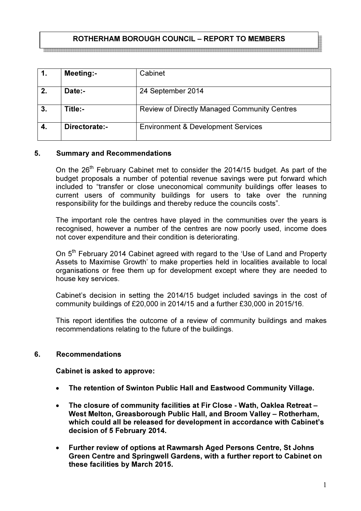# ROTHERHAM BOROUGH COUNCIL – REPORT TO MEMBERS

|    | <b>Meeting:-</b> | Cabinet                                             |
|----|------------------|-----------------------------------------------------|
| 2. | Date:-           | 24 September 2014                                   |
| 3. | Title:-          | <b>Review of Directly Managed Community Centres</b> |
| 4. | Directorate:-    | <b>Environment &amp; Development Services</b>       |

#### 5. Summary and Recommendations

On the 26<sup>th</sup> February Cabinet met to consider the 2014/15 budget. As part of the budget proposals a number of potential revenue savings were put forward which included to "transfer or close uneconomical community buildings offer leases to current users of community buildings for users to take over the running responsibility for the buildings and thereby reduce the councils costs".

The important role the centres have played in the communities over the years is recognised, however a number of the centres are now poorly used, income does not cover expenditure and their condition is deteriorating.

On 5<sup>th</sup> February 2014 Cabinet agreed with regard to the 'Use of Land and Property Assets to Maximise Growth' to make properties held in localities available to local organisations or free them up for development except where they are needed to house key services.

Cabinet's decision in setting the 2014/15 budget included savings in the cost of community buildings of £20,000 in 2014/15 and a further £30,000 in 2015/16.

This report identifies the outcome of a review of community buildings and makes recommendations relating to the future of the buildings.

#### 6. Recommendations

Cabinet is asked to approve:

- The retention of Swinton Public Hall and Eastwood Community Village.
- The closure of community facilities at Fir Close Wath, Oaklea Retreat West Melton, Greasborough Public Hall, and Broom Valley – Rotherham, which could all be released for development in accordance with Cabinet's decision of 5 February 2014.
- Further review of options at Rawmarsh Aged Persons Centre, St Johns Green Centre and Springwell Gardens, with a further report to Cabinet on these facilities by March 2015.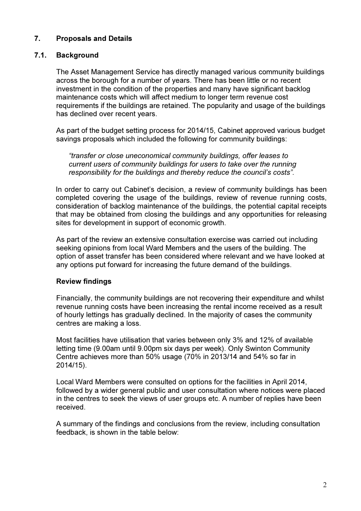# 7. Proposals and Details

### 7.1. Background

The Asset Management Service has directly managed various community buildings across the borough for a number of years. There has been little or no recent investment in the condition of the properties and many have significant backlog maintenance costs which will affect medium to longer term revenue cost requirements if the buildings are retained. The popularity and usage of the buildings has declined over recent years.

As part of the budget setting process for 2014/15, Cabinet approved various budget savings proposals which included the following for community buildings:

"transfer or close uneconomical community buildings, offer leases to current users of community buildings for users to take over the running responsibility for the buildings and thereby reduce the council's costs".

In order to carry out Cabinet's decision, a review of community buildings has been completed covering the usage of the buildings, review of revenue running costs, consideration of backlog maintenance of the buildings, the potential capital receipts that may be obtained from closing the buildings and any opportunities for releasing sites for development in support of economic growth.

As part of the review an extensive consultation exercise was carried out including seeking opinions from local Ward Members and the users of the building. The option of asset transfer has been considered where relevant and we have looked at any options put forward for increasing the future demand of the buildings.

#### Review findings

Financially, the community buildings are not recovering their expenditure and whilst revenue running costs have been increasing the rental income received as a result of hourly lettings has gradually declined. In the majority of cases the community centres are making a loss.

Most facilities have utilisation that varies between only 3% and 12% of available letting time (9.00am until 9.00pm six days per week). Only Swinton Community Centre achieves more than 50% usage (70% in 2013/14 and 54% so far in 2014/15).

Local Ward Members were consulted on options for the facilities in April 2014, followed by a wider general public and user consultation where notices were placed in the centres to seek the views of user groups etc. A number of replies have been received.

A summary of the findings and conclusions from the review, including consultation feedback, is shown in the table below: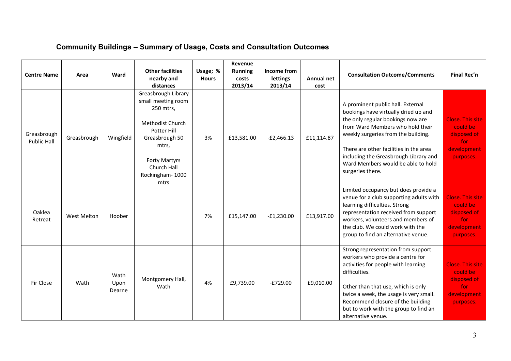# Community Buildings – Summary of Usage, Costs and Consultation Outcomes

| <b>Centre Name</b>                | Area               | Ward                   | <b>Other facilities</b><br>nearby and<br>distances                                                                                                                                            | Usage; %<br><b>Hours</b> | Revenue<br><b>Running</b><br>costs<br>2013/14 | Income from<br>lettings<br>2013/14 | <b>Annual net</b><br>cost | <b>Consultation Outcome/Comments</b>                                                                                                                                                                                                                                                                                                   | Final Rec'n                                                                           |
|-----------------------------------|--------------------|------------------------|-----------------------------------------------------------------------------------------------------------------------------------------------------------------------------------------------|--------------------------|-----------------------------------------------|------------------------------------|---------------------------|----------------------------------------------------------------------------------------------------------------------------------------------------------------------------------------------------------------------------------------------------------------------------------------------------------------------------------------|---------------------------------------------------------------------------------------|
| Greasbrough<br><b>Public Hall</b> | Greasbrough        | Wingfield              | Greasbrough Library<br>small meeting room<br>250 mtrs,<br>Methodist Church<br><b>Potter Hill</b><br>Greasbrough 50<br>mtrs,<br><b>Forty Martyrs</b><br>Church Hall<br>Rockingham-1000<br>mtrs | 3%                       | £13,581.00                                    | $-E2,466.13$                       | £11,114.87                | A prominent public hall. External<br>bookings have virtually dried up and<br>the only regular bookings now are<br>from Ward Members who hold their<br>weekly surgeries from the building.<br>There are other facilities in the area<br>including the Greasbrough Library and<br>Ward Members would be able to hold<br>surgeries there. | <b>Close. This site</b><br>could be<br>disposed of<br>for<br>development<br>purposes. |
| Oaklea<br>Retreat                 | <b>West Melton</b> | Hoober                 |                                                                                                                                                                                               | 7%                       | £15,147.00                                    | $-E1,230.00$                       | £13,917.00                | Limited occupancy but does provide a<br>venue for a club supporting adults with<br>learning difficulties. Strong<br>representation received from support<br>workers, volunteers and members of<br>the club. We could work with the<br>group to find an alternative venue.                                                              | <b>Close. This site</b><br>could be<br>disposed of<br>for<br>development<br>purposes. |
| Fir Close                         | Wath               | Wath<br>Upon<br>Dearne | Montgomery Hall,<br>Wath                                                                                                                                                                      | 4%                       | £9,739.00                                     | $-E729.00$                         | £9,010.00                 | Strong representation from support<br>workers who provide a centre for<br>activities for people with learning<br>difficulties.<br>Other than that use, which is only<br>twice a week, the usage is very small.<br>Recommend closure of the building<br>but to work with the group to find an<br>alternative venue.                     | <b>Close. This site</b><br>could be<br>disposed of<br>for<br>development<br>purposes. |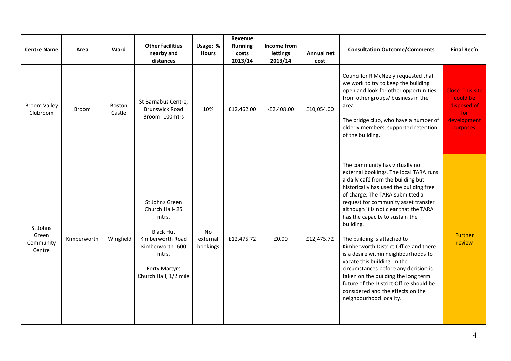| <b>Centre Name</b>                       | Area         | Ward             | <b>Other facilities</b><br>nearby and<br>distances                                                                                                             | Usage; %<br><b>Hours</b>   | Revenue<br><b>Running</b><br>costs<br>2013/14 | Income from<br>lettings<br>2013/14 | Annual net<br>cost | <b>Consultation Outcome/Comments</b>                                                                                                                                                                                                                                                                                                                                                                                                                                                                                                                                                                                                                                     | Final Rec'n                                                                           |
|------------------------------------------|--------------|------------------|----------------------------------------------------------------------------------------------------------------------------------------------------------------|----------------------------|-----------------------------------------------|------------------------------------|--------------------|--------------------------------------------------------------------------------------------------------------------------------------------------------------------------------------------------------------------------------------------------------------------------------------------------------------------------------------------------------------------------------------------------------------------------------------------------------------------------------------------------------------------------------------------------------------------------------------------------------------------------------------------------------------------------|---------------------------------------------------------------------------------------|
| <b>Broom Valley</b><br>Clubroom          | <b>Broom</b> | Boston<br>Castle | St Barnabus Centre,<br><b>Brunswick Road</b><br>Broom-100mtrs                                                                                                  | 10%                        | £12,462.00                                    | $-E2,408.00$                       | £10,054.00         | Councillor R McNeely requested that<br>we work to try to keep the building<br>open and look for other opportunities<br>from other groups/ business in the<br>area.<br>The bridge club, who have a number of<br>elderly members, supported retention<br>of the building.                                                                                                                                                                                                                                                                                                                                                                                                  | <b>Close. This site</b><br>could be<br>disposed of<br>for<br>development<br>purposes. |
| St Johns<br>Green<br>Community<br>Centre | Kimberworth  | Wingfield        | St Johns Green<br>Church Hall-25<br>mtrs,<br><b>Black Hut</b><br>Kimberworth Road<br>Kimberworth-600<br>mtrs,<br><b>Forty Martyrs</b><br>Church Hall, 1/2 mile | No<br>external<br>bookings | £12,475.72                                    | £0.00                              | £12,475.72         | The community has virtually no<br>external bookings. The local TARA runs<br>a daily café from the building but<br>historically has used the building free<br>of charge. The TARA submitted a<br>request for community asset transfer<br>although it is not clear that the TARA<br>has the capacity to sustain the<br>building.<br>The building is attached to<br>Kimberworth District Office and there<br>is a desire within neighbourhoods to<br>vacate this building. In the<br>circumstances before any decision is<br>taken on the building the long term<br>future of the District Office should be<br>considered and the effects on the<br>neighbourhood locality. | <b>Further</b><br>review                                                              |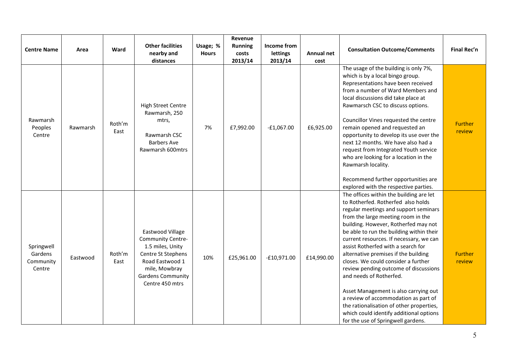| <b>Centre Name</b>                           | Area     | Ward           | <b>Other facilities</b><br>nearby and<br>distances                                                                                                                 | Usage; %<br><b>Hours</b> | Revenue<br><b>Running</b><br>costs<br>2013/14 | Income from<br>lettings<br>2013/14 | Annual net<br>cost | <b>Consultation Outcome/Comments</b>                                                                                                                                                                                                                                                                                                                                                                                                                                                                                                                                                                                                                                                               | Final Rec'n              |
|----------------------------------------------|----------|----------------|--------------------------------------------------------------------------------------------------------------------------------------------------------------------|--------------------------|-----------------------------------------------|------------------------------------|--------------------|----------------------------------------------------------------------------------------------------------------------------------------------------------------------------------------------------------------------------------------------------------------------------------------------------------------------------------------------------------------------------------------------------------------------------------------------------------------------------------------------------------------------------------------------------------------------------------------------------------------------------------------------------------------------------------------------------|--------------------------|
| Rawmarsh<br>Peoples<br>Centre                | Rawmarsh | Roth'm<br>East | <b>High Street Centre</b><br>Rawmarsh, 250<br>mtrs,<br>Rawmarsh CSC<br><b>Barbers Ave</b><br>Rawmarsh 600mtrs                                                      | 7%                       | £7,992.00                                     | $-E1,067.00$                       | £6,925.00          | The usage of the building is only 7%,<br>which is by a local bingo group.<br>Representations have been received<br>from a number of Ward Members and<br>local discussions did take place at<br>Rawmarsch CSC to discuss options.<br>Councillor Vines requested the centre<br>remain opened and requested an<br>opportunity to develop its use over the<br>next 12 months. We have also had a<br>request from Integrated Youth service<br>who are looking for a location in the<br>Rawmarsh locality.<br>Recommend further opportunities are<br>explored with the respective parties.                                                                                                               | <b>Further</b><br>review |
| Springwell<br>Gardens<br>Community<br>Centre | Eastwood | Roth'm<br>East | Eastwood Village<br>Community Centre-<br>1.5 miles, Unity<br>Centre St Stephens<br>Road Eastwood 1<br>mile, Mowbray<br><b>Gardens Community</b><br>Centre 450 mtrs | 10%                      | £25,961.00                                    | $-£10,971.00$                      | £14,990.00         | The offices within the building are let<br>to Rotherfed. Rotherfed also holds<br>regular meetings and support seminars<br>from the large meeting room in the<br>building. However, Rotherfed may not<br>be able to run the building within their<br>current resources. If necessary, we can<br>assist Rotherfed with a search for<br>alternative premises if the building<br>closes. We could consider a further<br>review pending outcome of discussions<br>and needs of Rotherfed.<br>Asset Management is also carrying out<br>a review of accommodation as part of<br>the rationalisation of other properties,<br>which could identify additional options<br>for the use of Springwell gardens. | <b>Further</b><br>review |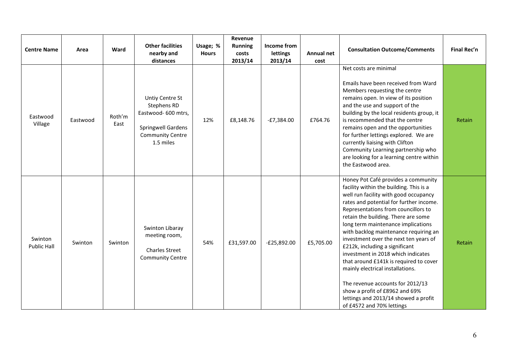| <b>Centre Name</b>            | Area     | Ward           | <b>Other facilities</b><br>nearby and<br>distances                                                                         | Usage; %<br><b>Hours</b> | Revenue<br><b>Running</b><br>costs<br>2013/14 | Income from<br>lettings<br>2013/14 | <b>Annual net</b><br>cost | <b>Consultation Outcome/Comments</b>                                                                                                                                                                                                                                                                                                                                                                                                                                                                                                                                                                                                                                      | Final Rec'n |
|-------------------------------|----------|----------------|----------------------------------------------------------------------------------------------------------------------------|--------------------------|-----------------------------------------------|------------------------------------|---------------------------|---------------------------------------------------------------------------------------------------------------------------------------------------------------------------------------------------------------------------------------------------------------------------------------------------------------------------------------------------------------------------------------------------------------------------------------------------------------------------------------------------------------------------------------------------------------------------------------------------------------------------------------------------------------------------|-------------|
| Eastwood<br>Village           | Eastwood | Roth'm<br>East | Untiy Centre St<br>Stephens RD<br>Eastwood- 600 mtrs,<br><b>Springwell Gardens</b><br><b>Community Centre</b><br>1.5 miles | 12%                      | £8,148.76                                     | $-E7,384.00$                       | £764.76                   | Net costs are minimal<br>Emails have been received from Ward<br>Members requesting the centre<br>remains open. In view of its position<br>and the use and support of the<br>building by the local residents group, it<br>is recommended that the centre<br>remains open and the opportunities<br>for further lettings explored. We are<br>currently liaising with Clifton<br>Community Learning partnership who<br>are looking for a learning centre within<br>the Eastwood area.                                                                                                                                                                                         | Retain      |
| Swinton<br><b>Public Hall</b> | Swinton  | Swinton        | Swinton Libaray<br>meeting room,<br><b>Charles Street</b><br><b>Community Centre</b>                                       | 54%                      | £31,597.00                                    | $-E25,892.00$                      | £5,705.00                 | Honey Pot Café provides a community<br>facility within the building. This is a<br>well run facility with good occupancy<br>rates and potential for further income.<br>Representations from councillors to<br>retain the building. There are some<br>long term maintenance implications<br>with backlog maintenance requiring an<br>investment over the next ten years of<br>£212k, including a significant<br>investment in 2018 which indicates<br>that around £141k is required to cover<br>mainly electrical installations.<br>The revenue accounts for 2012/13<br>show a profit of £8962 and 69%<br>lettings and 2013/14 showed a profit<br>of £4572 and 70% lettings | Retain      |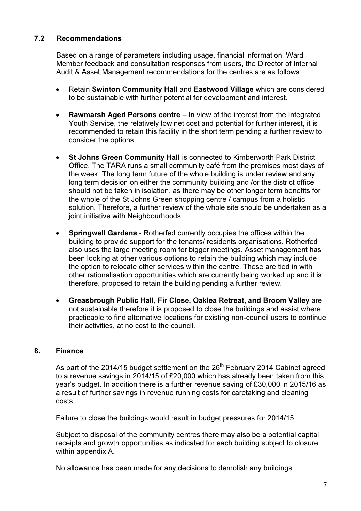# 7.2 Recommendations

Based on a range of parameters including usage, financial information, Ward Member feedback and consultation responses from users, the Director of Internal Audit & Asset Management recommendations for the centres are as follows:

- Retain Swinton Community Hall and Eastwood Village which are considered to be sustainable with further potential for development and interest.
- Rawmarsh Aged Persons centre In view of the interest from the Integrated Youth Service, the relatively low net cost and potential for further interest, it is recommended to retain this facility in the short term pending a further review to consider the options.
- St Johns Green Community Hall is connected to Kimberworth Park District Office. The TARA runs a small community café from the premises most days of the week. The long term future of the whole building is under review and any long term decision on either the community building and /or the district office should not be taken in isolation, as there may be other longer term benefits for the whole of the St Johns Green shopping centre / campus from a holistic solution. Therefore, a further review of the whole site should be undertaken as a joint initiative with Neighbourhoods.
- **Springwell Gardens** Rotherfed currently occupies the offices within the building to provide support for the tenants/ residents organisations. Rotherfed also uses the large meeting room for bigger meetings. Asset management has been looking at other various options to retain the building which may include the option to relocate other services within the centre. These are tied in with other rationalisation opportunities which are currently being worked up and it is, therefore, proposed to retain the building pending a further review.
- Greasbrough Public Hall, Fir Close, Oaklea Retreat, and Broom Valley are not sustainable therefore it is proposed to close the buildings and assist where practicable to find alternative locations for existing non-council users to continue their activities, at no cost to the council.

## 8. Finance

As part of the 2014/15 budget settlement on the 26<sup>th</sup> February 2014 Cabinet agreed to a revenue savings in 2014/15 of £20,000 which has already been taken from this year's budget. In addition there is a further revenue saving of £30,000 in 2015/16 as a result of further savings in revenue running costs for caretaking and cleaning costs.

Failure to close the buildings would result in budget pressures for 2014/15.

Subject to disposal of the community centres there may also be a potential capital receipts and growth opportunities as indicated for each building subject to closure within appendix A.

No allowance has been made for any decisions to demolish any buildings.